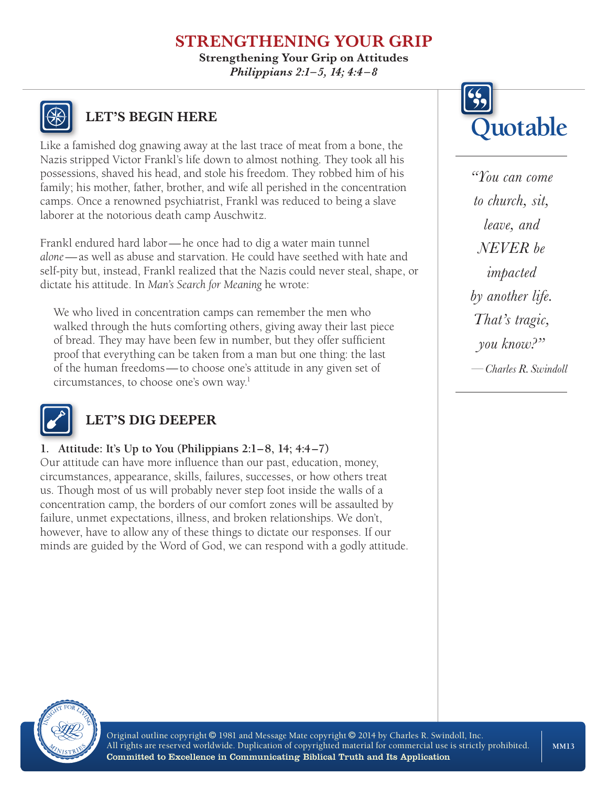# **STRENGTHENING YOUR GRIP**

**Strengthening Your Grip on Attitudes** *Philippians 2:1–5, 14; 4:4 –8*



Like a famished dog gnawing away at the last trace of meat from a bone, the Nazis stripped Victor Frankl's life down to almost nothing. They took all his possessions, shaved his head, and stole his freedom. They robbed him of his family; his mother, father, brother, and wife all perished in the concentration camps. Once a renowned psychiatrist, Frankl was reduced to being a slave laborer at the notorious death camp Auschwitz.

Frankl endured hard labor—he once had to dig a water main tunnel *alone*—as well as abuse and starvation. He could have seethed with hate and self-pity but, instead, Frankl realized that the Nazis could never steal, shape, or dictate his attitude. In *Man's Search for Meaning* he wrote:

We who lived in concentration camps can remember the men who walked through the huts comforting others, giving away their last piece of bread. They may have been few in number, but they offer sufficient proof that everything can be taken from a man but one thing: the last of the human freedoms—to choose one's attitude in any given set of circumstances, to choose one's own way.1



# **LET'S DIG DEEPER**

### **1. Attitude: It's Up to You (Philippians 2:1–8, 14; 4:4–7)**

Our attitude can have more influence than our past, education, money, circumstances, appearance, skills, failures, successes, or how others treat us. Though most of us will probably never step foot inside the walls of a concentration camp, the borders of our comfort zones will be assaulted by failure, unmet expectations, illness, and broken relationships. We don't, however, have to allow any of these things to dictate our responses. If our minds are guided by the Word of God, we can respond with a godly attitude.



*"You can come to church, sit, leave, and NEVER be impacted by another life. That's tragic, you know?" —Charles R. Swindoll*



Original outline copyright © 1981 and Message Mate copyright © 2014 by Charles R. Swindoll, Inc. All rights are reserved worldwide. Duplication of copyrighted material for commercial use is strictly prohibited. Committed to Excellence in Communicating Biblical Truth and Its Application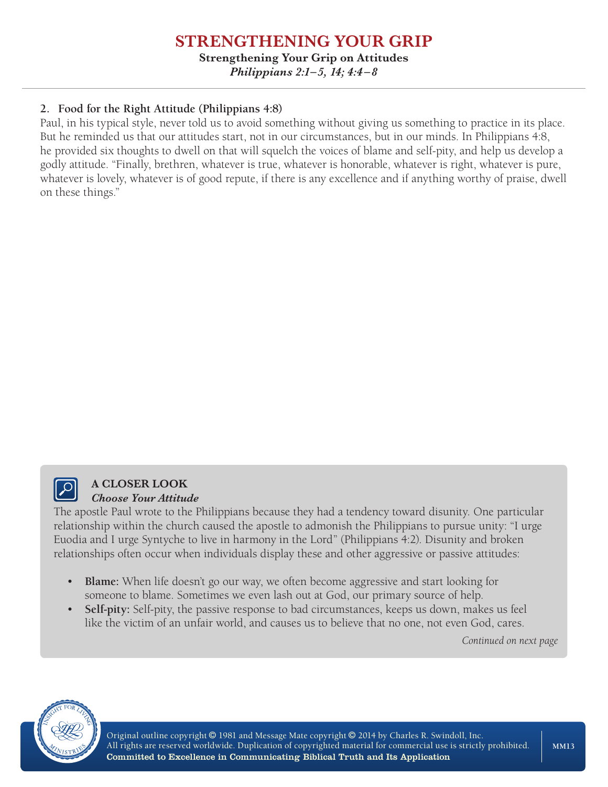## **STRENGTHENING YOUR GRIP Strengthening Your Grip on Attitudes**

*Philippians 2:1–5, 14; 4:4 –8*

## **2. Food for the Right Attitude (Philippians 4:8)**

Paul, in his typical style, never told us to avoid something without giving us something to practice in its place. But he reminded us that our attitudes start, not in our circumstances, but in our minds. In Philippians 4:8, he provided six thoughts to dwell on that will squelch the voices of blame and self-pity, and help us develop a godly attitude. "Finally, brethren, whatever is true, whatever is honorable, whatever is right, whatever is pure, whatever is lovely, whatever is of good repute, if there is any excellence and if anything worthy of praise, dwell on these things."



#### **A CLOSER LOOK** *Choose Your Attitude*

The apostle Paul wrote to the Philippians because they had a tendency toward disunity. One particular relationship within the church caused the apostle to admonish the Philippians to pursue unity: "I urge Euodia and I urge Syntyche to live in harmony in the Lord" (Philippians 4:2). Disunity and broken relationships often occur when individuals display these and other aggressive or passive attitudes:

- **Blame:** When life doesn't go our way, we often become aggressive and start looking for someone to blame. Sometimes we even lash out at God, our primary source of help.
- **Self-pity:** Self-pity, the passive response to bad circumstances, keeps us down, makes us feel like the victim of an unfair world, and causes us to believe that no one, not even God, cares.

*Continued on next page*



Original outline copyright © 1981 and Message Mate copyright © 2014 by Charles R. Swindoll, Inc. All rights are reserved worldwide. Duplication of copyrighted material for commercial use is strictly prohibited. Committed to Excellence in Communicating Biblical Truth and Its Application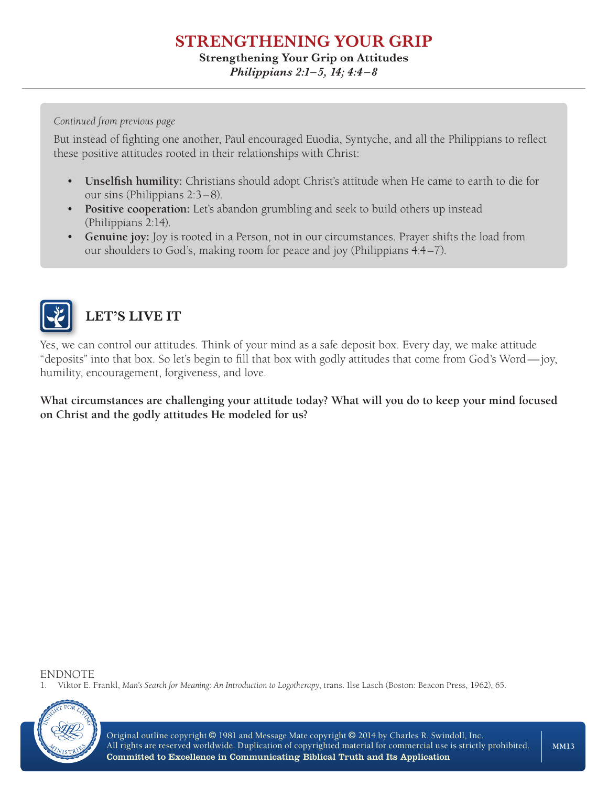## **STRENGTHENING YOUR GRIP Strengthening Your Grip on Attitudes**

# *Philippians 2:1–5, 14; 4:4 –8*

#### *Continued from previous page*

But instead of fighting one another, Paul encouraged Euodia, Syntyche, and all the Philippians to reflect these positive attitudes rooted in their relationships with Christ:

- **Unselfish humility:** Christians should adopt Christ's attitude when He came to earth to die for our sins (Philippians 2:3–8).
- **Positive cooperation:** Let's abandon grumbling and seek to build others up instead (Philippians 2:14).
- **Genuine joy:** Joy is rooted in a Person, not in our circumstances. Prayer shifts the load from our shoulders to God's, making room for peace and joy (Philippians 4:4–7).



# **LET'S LIVE IT**

Yes, we can control our attitudes. Think of your mind as a safe deposit box. Every day, we make attitude "deposits" into that box. So let's begin to fill that box with godly attitudes that come from God's Word—joy, humility, encouragement, forgiveness, and love.

**What circumstances are challenging your attitude today? What will you do to keep your mind focused on Christ and the godly attitudes He modeled for us?**

ENDNOTE

1. Viktor E. Frankl, *Man's Search for Meaning: An Introduction to Logotherapy*, trans. Ilse Lasch (Boston: Beacon Press, 1962), 65.



Original outline copyright © 1981 and Message Mate copyright © 2014 by Charles R. Swindoll, Inc. All rights are reserved worldwide. Duplication of copyrighted material for commercial use is strictly prohibited. Committed to Excellence in Communicating Biblical Truth and Its Application